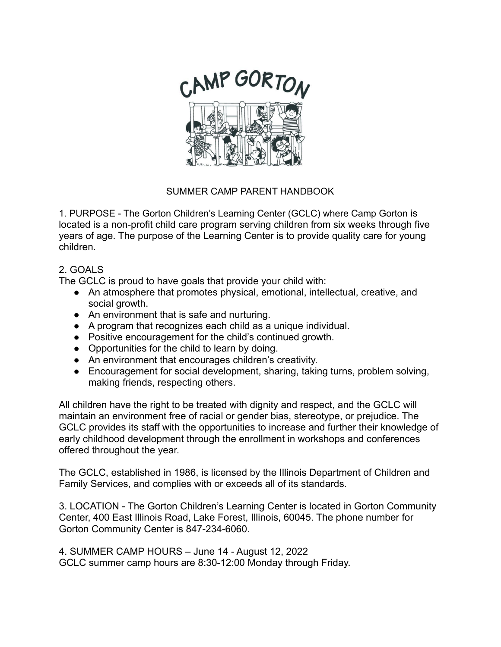

# SUMMER CAMP PARENT HANDBOOK

1. PURPOSE - The Gorton Children's Learning Center (GCLC) where Camp Gorton is located is a non-profit child care program serving children from six weeks through five years of age. The purpose of the Learning Center is to provide quality care for young children.

## 2. GOALS

The GCLC is proud to have goals that provide your child with:

- An atmosphere that promotes physical, emotional, intellectual, creative, and social growth.
- An environment that is safe and nurturing.
- A program that recognizes each child as a unique individual.
- Positive encouragement for the child's continued growth.
- Opportunities for the child to learn by doing.
- An environment that encourages children's creativity.
- Encouragement for social development, sharing, taking turns, problem solving, making friends, respecting others.

All children have the right to be treated with dignity and respect, and the GCLC will maintain an environment free of racial or gender bias, stereotype, or prejudice. The GCLC provides its staff with the opportunities to increase and further their knowledge of early childhood development through the enrollment in workshops and conferences offered throughout the year.

The GCLC, established in 1986, is licensed by the Illinois Department of Children and Family Services, and complies with or exceeds all of its standards.

3. LOCATION - The Gorton Children's Learning Center is located in Gorton Community Center, 400 East Illinois Road, Lake Forest, Illinois, 60045. The phone number for Gorton Community Center is 847-234-6060.

4. SUMMER CAMP HOURS – June 14 - August 12, 2022 GCLC summer camp hours are 8:30-12:00 Monday through Friday.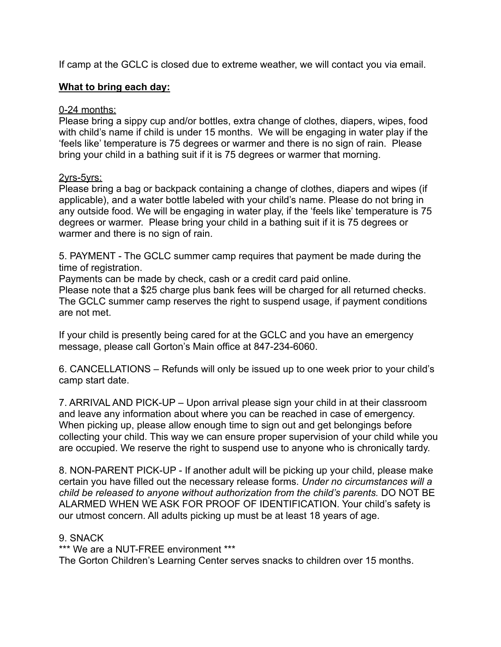If camp at the GCLC is closed due to extreme weather, we will contact you via email.

# **What to bring each day:**

## 0-24 months:

Please bring a sippy cup and/or bottles, extra change of clothes, diapers, wipes, food with child's name if child is under 15 months. We will be engaging in water play if the 'feels like' temperature is 75 degrees or warmer and there is no sign of rain. Please bring your child in a bathing suit if it is 75 degrees or warmer that morning.

### 2yrs-5yrs:

Please bring a bag or backpack containing a change of clothes, diapers and wipes (if applicable), and a water bottle labeled with your child's name. Please do not bring in any outside food. We will be engaging in water play, if the 'feels like' temperature is 75 degrees or warmer. Please bring your child in a bathing suit if it is 75 degrees or warmer and there is no sign of rain.

5. PAYMENT - The GCLC summer camp requires that payment be made during the time of registration.

Payments can be made by check, cash or a credit card paid online.

Please note that a \$25 charge plus bank fees will be charged for all returned checks. The GCLC summer camp reserves the right to suspend usage, if payment conditions are not met.

If your child is presently being cared for at the GCLC and you have an emergency message, please call Gorton's Main office at 847-234-6060.

6. CANCELLATIONS – Refunds will only be issued up to one week prior to your child's camp start date.

7. ARRIVAL AND PICK-UP – Upon arrival please sign your child in at their classroom and leave any information about where you can be reached in case of emergency. When picking up, please allow enough time to sign out and get belongings before collecting your child. This way we can ensure proper supervision of your child while you are occupied. We reserve the right to suspend use to anyone who is chronically tardy.

8. NON-PARENT PICK-UP - If another adult will be picking up your child, please make certain you have filled out the necessary release forms. *Under no circumstances will a child be released to anyone without authorization from the child's parents.* DO NOT BE ALARMED WHEN WE ASK FOR PROOF OF IDENTIFICATION. Your child's safety is our utmost concern. All adults picking up must be at least 18 years of age.

### 9. SNACK

\*\*\* We are a NUT-FREE environment \*\*\*

The Gorton Children's Learning Center serves snacks to children over 15 months.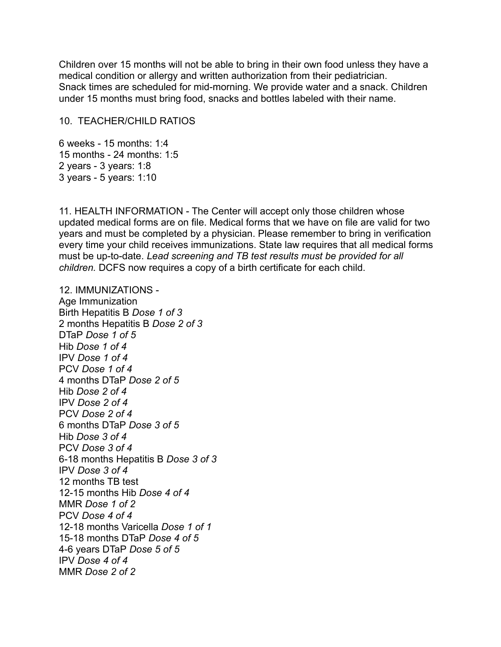Children over 15 months will not be able to bring in their own food unless they have a medical condition or allergy and written authorization from their pediatrician. Snack times are scheduled for mid-morning. We provide water and a snack. Children under 15 months must bring food, snacks and bottles labeled with their name.

#### 10. TEACHER/CHILD RATIOS

6 weeks - 15 months: 1:4 15 months - 24 months: 1:5 2 years - 3 years: 1:8 3 years - 5 years: 1:10

11. HEALTH INFORMATION - The Center will accept only those children whose updated medical forms are on file. Medical forms that we have on file are valid for two years and must be completed by a physician. Please remember to bring in verification every time your child receives immunizations. State law requires that all medical forms must be up-to-date. *Lead screening and TB test results must be provided for all children.* DCFS now requires a copy of a birth certificate for each child.

12. IMMUNIZATIONS - Age Immunization Birth Hepatitis B *Dose 1 of 3* 2 months Hepatitis B *Dose 2 of 3* DTaP *Dose 1 of 5* Hib *Dose 1 of 4* IPV *Dose 1 of 4* PCV *Dose 1 of 4* 4 months DTaP *Dose 2 of 5* Hib *Dose 2 of 4* IPV *Dose 2 of 4* PCV *Dose 2 of 4* 6 months DTaP *Dose 3 of 5* Hib *Dose 3 of 4* PCV *Dose 3 of 4* 6-18 months Hepatitis B *Dose 3 of 3* IPV *Dose 3 of 4* 12 months TB test 12-15 months Hib *Dose 4 of 4* MMR *Dose 1 of 2* PCV *Dose 4 of 4* 12-18 months Varicella *Dose 1 of 1* 15-18 months DTaP *Dose 4 of 5* 4-6 years DTaP *Dose 5 of 5* IPV *Dose 4 of 4* MMR *Dose 2 of 2*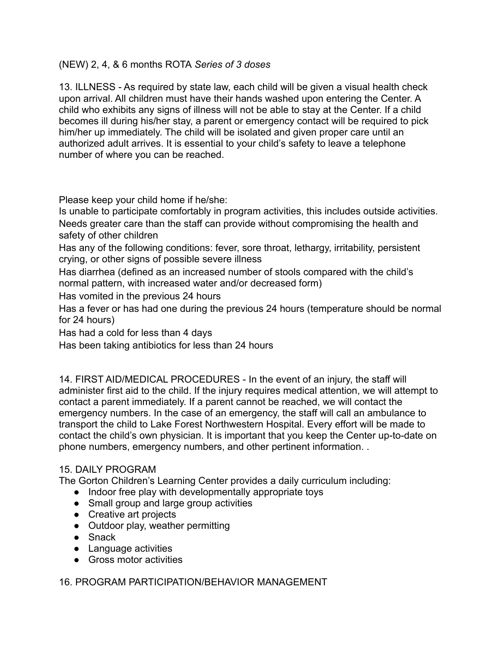# (NEW) 2, 4, & 6 months ROTA *Series of 3 doses*

13. ILLNESS - As required by state law, each child will be given a visual health check upon arrival. All children must have their hands washed upon entering the Center. A child who exhibits any signs of illness will not be able to stay at the Center. If a child becomes ill during his/her stay, a parent or emergency contact will be required to pick him/her up immediately. The child will be isolated and given proper care until an authorized adult arrives. It is essential to your child's safety to leave a telephone number of where you can be reached.

Please keep your child home if he/she:

Is unable to participate comfortably in program activities, this includes outside activities. Needs greater care than the staff can provide without compromising the health and safety of other children

Has any of the following conditions: fever, sore throat, lethargy, irritability, persistent crying, or other signs of possible severe illness

Has diarrhea (defined as an increased number of stools compared with the child's normal pattern, with increased water and/or decreased form)

Has vomited in the previous 24 hours

Has a fever or has had one during the previous 24 hours (temperature should be normal for 24 hours)

Has had a cold for less than 4 days

Has been taking antibiotics for less than 24 hours

14. FIRST AID/MEDICAL PROCEDURES - In the event of an injury, the staff will administer first aid to the child. If the injury requires medical attention, we will attempt to contact a parent immediately. If a parent cannot be reached, we will contact the emergency numbers. In the case of an emergency, the staff will call an ambulance to transport the child to Lake Forest Northwestern Hospital. Every effort will be made to contact the child's own physician. It is important that you keep the Center up-to-date on phone numbers, emergency numbers, and other pertinent information. .

### 15. DAILY PROGRAM

The Gorton Children's Learning Center provides a daily curriculum including:

- Indoor free play with developmentally appropriate toys
- Small group and large group activities
- Creative art projects
- Outdoor play, weather permitting
- Snack
- Language activities
- Gross motor activities

# 16. PROGRAM PARTICIPATION/BEHAVIOR MANAGEMENT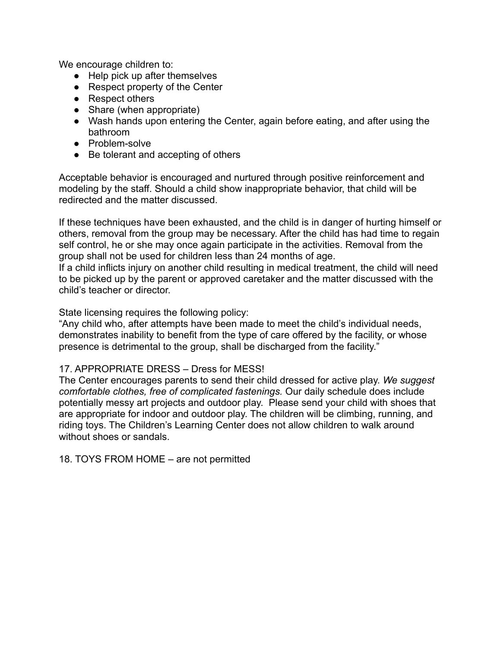We encourage children to:

- Help pick up after themselves
- Respect property of the Center
- Respect others
- Share (when appropriate)
- Wash hands upon entering the Center, again before eating, and after using the bathroom
- Problem-solve
- Be tolerant and accepting of others

Acceptable behavior is encouraged and nurtured through positive reinforcement and modeling by the staff. Should a child show inappropriate behavior, that child will be redirected and the matter discussed.

If these techniques have been exhausted, and the child is in danger of hurting himself or others, removal from the group may be necessary. After the child has had time to regain self control, he or she may once again participate in the activities. Removal from the group shall not be used for children less than 24 months of age.

If a child inflicts injury on another child resulting in medical treatment, the child will need to be picked up by the parent or approved caretaker and the matter discussed with the child's teacher or director.

State licensing requires the following policy:

"Any child who, after attempts have been made to meet the child's individual needs, demonstrates inability to benefit from the type of care offered by the facility, or whose presence is detrimental to the group, shall be discharged from the facility."

### 17. APPROPRIATE DRESS – Dress for MESS!

The Center encourages parents to send their child dressed for active play. *We suggest comfortable clothes, free of complicated fastenings.* Our daily schedule does include potentially messy art projects and outdoor play. Please send your child with shoes that are appropriate for indoor and outdoor play. The children will be climbing, running, and riding toys. The Children's Learning Center does not allow children to walk around without shoes or sandals.

18. TOYS FROM HOME – are not permitted